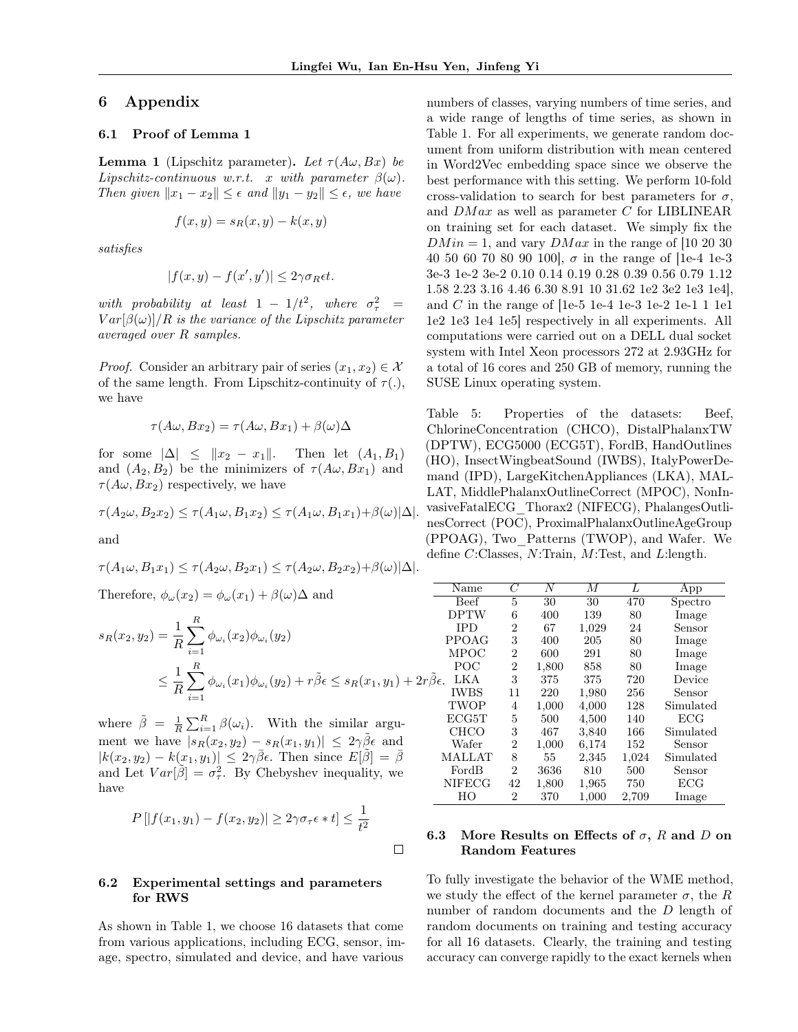## 6 Appendix

#### 6.1 Proof of Lemma 1

**Lemma 1** (Lipschitz parameter). Let  $\tau(A\omega, Bx)$  be *Lipschitz-continuous w.r.t. x with parameter*  $\beta(\omega)$ *. Then given*  $||x_1 - x_2|| \leq \epsilon$  *and*  $||y_1 - y_2|| \leq \epsilon$ *, we have* 

$$
f(x, y) = s_R(x, y) - k(x, y)
$$

*satisfies*

$$
|f(x,y) - f(x',y')| \le 2\gamma \sigma_R \epsilon t.
$$

 $with \text{ probability at least } 1 - 1/t^2, \text{ where } \sigma_\tau^2 =$  $Var[\beta(\omega)]/R$  *is the variance of the Lipschitz parameter averaged over R samples.*

*Proof.* Consider an arbitrary pair of series  $(x_1, x_2) \in \mathcal{X}$ of the same length. From Lipschitz-continuity of  $\tau(.)$ , we have

$$
\tau(A\omega, Bx_2) = \tau(A\omega, Bx_1) + \beta(\omega)\Delta
$$

for some  $|\Delta| \leq ||x_2 - x_1||$ . Then let  $(A_1, B_1)$ and  $(A_2, B_2)$  be the minimizers of  $\tau(A\omega, Bx_1)$  and  $\tau(A\omega, Bx_2)$  respectively, we have

$$
\tau(A_2\omega, B_2x_2) \leq \tau(A_1\omega, B_1x_2) \leq \tau(A_1\omega, B_1x_1) + \beta(\omega)|\Delta|.
$$

and

$$
\tau(A_1\omega, B_1x_1) \leq \tau(A_2\omega, B_2x_1) \leq \tau(A_2\omega, B_2x_2) + \beta(\omega)|\Delta|.
$$

Therefore,  $\phi_{\omega}(x_2) = \phi_{\omega}(x_1) + \beta(\omega)\Delta$  and

$$
s_R(x_2, y_2) = \frac{1}{R} \sum_{i=1}^R \phi_{\omega_i}(x_2) \phi_{\omega_i}(y_2)
$$
  

$$
\leq \frac{1}{R} \sum_{i=1}^R \phi_{\omega_i}(x_1) \phi_{\omega_i}(y_2) + r \tilde{\beta} \epsilon \leq s_R(x_1, y_1) + 2r \tilde{\beta} \epsilon.
$$

where  $\tilde{\beta} = \frac{1}{R} \sum_{i=1}^{R} \beta(\omega_i)$ . With the similar argument we have  $|s_R(x_2, y_2) - s_R(x_1, y_1)| \leq 2\gamma \tilde{\beta} \epsilon$  and  $|k(x_2, y_2) - k(x_1, y_1)| \leq 2\gamma \overline{\beta} \epsilon$ . Then since  $E[\tilde{\beta}] = \overline{\beta}$ and Let  $Var[\tilde{\beta}] = \sigma_{\tau}^2$ . By Chebyshev inequality, we have

$$
P\left[|f(x_1,y_1)-f(x_2,y_2)|\geq 2\gamma\sigma_\tau\epsilon*t\right]\leq \frac{1}{t^2}
$$

 $\Box$ 

#### 6.2 Experimental settings and parameters for RWS

As shown in Table 1, we choose 16 datasets that come from various applications, including ECG, sensor, image, spectro, simulated and device, and have various

numbers of classes, varying numbers of time series, and a wide range of lengths of time series, as shown in Table 1. For all experiments, we generate random document from uniform distribution with mean centered in Word2Vec embedding space since we observe the best performance with this setting. We perform 10-fold cross-validation to search for best parameters for  $\sigma$ . and *DM ax* as well as parameter *C* for LIBLINEAR on training set for each dataset. We simply fix the  $DMin = 1$ , and vary  $DMax$  in the range of [10 20 30] 40 50 60 70 80 90 100,  $\sigma$  in the range of [1e-4 1e-3 3e-3 1e-2 3e-2 0.10 0.14 0.19 0.28 0.39 0.56 0.79 1.12 1.58 2.23 3.16 4.46 6.30 8.91 10 31.62 1e2 3e2 1e3 1e4], and *C* in the range of [1e-5 1e-4 1e-3 1e-2 1e-1 1 1e1 1e2 1e3 1e4 1e5] respectively in all experiments. All computations were carried out on a DELL dual socket system with Intel Xeon processors 272 at 2.93GHz for a total of 16 cores and 250 GB of memory, running the SUSE Linux operating system.

Table 5: Properties of the datasets: Beef, ChlorineConcentration (CHCO), DistalPhalanxTW (DPTW), ECG5000 (ECG5T), FordB, HandOutlines (HO), InsectWingbeatSound (IWBS), ItalyPowerDemand (IPD), LargeKitchenAppliances (LKA), MAL-LAT, MiddlePhalanxOutlineCorrect (MPOC), NonInvasiveFatalECG\_Thorax2 (NIFECG), PhalangesOutlinesCorrect (POC), ProximalPhalanxOutlineAgeGroup (PPOAG), Two\_Patterns (TWOP), and Wafer. We define *C*:Classes, *N*:Train, *M*:Test, and *L*:length.

| Name                | $\overline{C}$ | $\overline{N}$ | М     | L     | App          |
|---------------------|----------------|----------------|-------|-------|--------------|
| <b>Beef</b>         | 5              | 30             | 30    | 470   | Spectro      |
| <b>DPTW</b>         | 6              | 400            | 139   | 80    | Image        |
| <b>IPD</b>          | 2              | 67             | 1,029 | 24    | Sensor       |
| <b>PPOAG</b>        | 3              | 400            | 205   | 80    | Image        |
| MPOC                | 2              | 600            | 291   | 80    | Image        |
| POC                 | $\overline{2}$ | 1,800          | 858   | 80    | Image        |
| LKA<br>$\epsilon$ . | 3              | 375            | 375   | 720   | Device       |
| <b>IWBS</b>         | 11             | 220            | 1,980 | 256   | Sensor       |
| TWOP                | 4              | 1,000          | 4,000 | 128   | Simulated    |
| ECG5T               | 5              | 500            | 4,500 | 140   | ECG          |
| CHCO                | 3              | 467            | 3,840 | 166   | Simulated    |
| Wafer               | 2              | 1,000          | 6,174 | 152   | Sensor       |
| <b>MALLAT</b>       | 8              | 55             | 2,345 | 1,024 | Simulated    |
| FordB               | 2              | 3636           | 810   | 500   | Sensor       |
| <b>NIFECG</b>       | 42             | 1,800          | 1,965 | 750   | $_{\rm ECG}$ |
| HΟ                  | 2              | 370            | 1,000 | 2,709 | Image        |

### 6.3 More Results on Effects of  $\sigma$ , *R* and *D* on Random Features

To fully investigate the behavior of the WME method, we study the effect of the kernel parameter  $\sigma$ , the *R* number of random documents and the *D* length of random documents on training and testing accuracy for all 16 datasets. Clearly, the training and testing accuracy can converge rapidly to the exact kernels when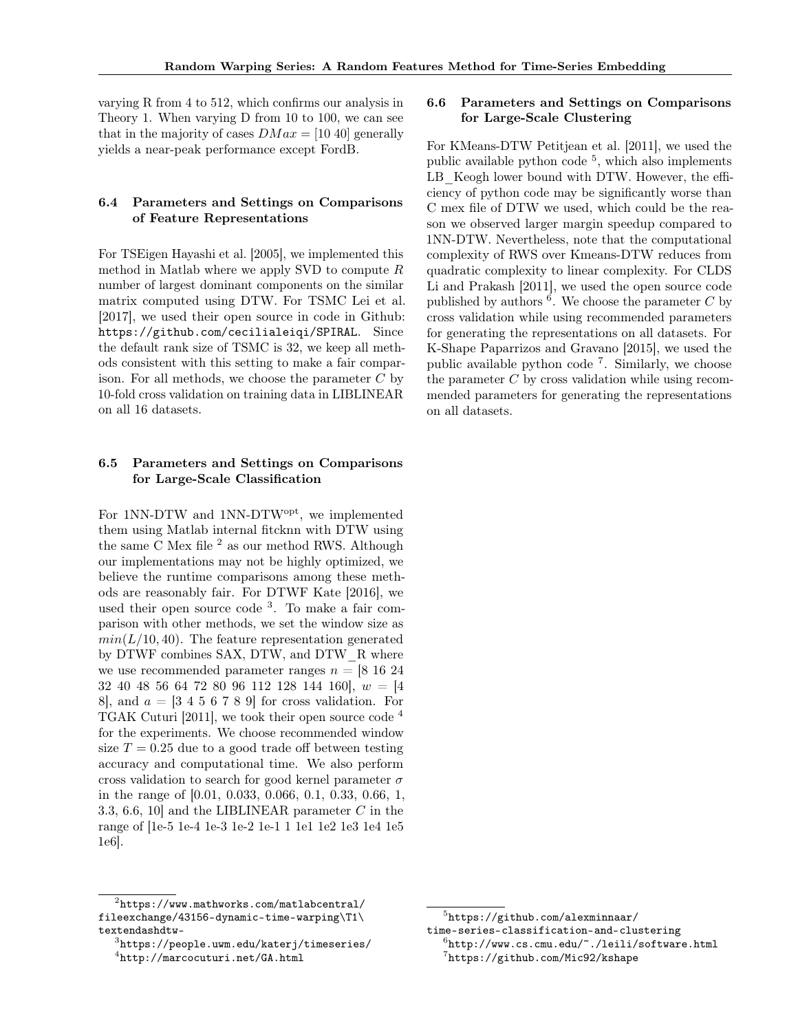varying R from 4 to 512, which confirms our analysis in Theory 1. When varying D from 10 to 100, we can see that in the majority of cases  $DMax = [10 40]$  generally yields a near-peak performance except FordB.

# 6.4 Parameters and Settings on Comparisons of Feature Representations

For TSEigen Hayashi et al. [2005], we implemented this method in Matlab where we apply SVD to compute *R* number of largest dominant components on the similar matrix computed using DTW. For TSMC Lei et al. [2017], we used their open source in code in Github: https://github.com/cecilialeiqi/SPIRAL. Since the default rank size of TSMC is 32, we keep all methods consistent with this setting to make a fair comparison. For all methods, we choose the parameter *C* by 10-fold cross validation on training data in LIBLINEAR on all 16 datasets.

# 6.5 Parameters and Settings on Comparisons for Large-Scale Classification

For 1NN-DTW and 1NN-DTWopt, we implemented them using Matlab internal fitcknn with DTW using the same C Mex file  $^2$  as our method RWS. Although our implementations may not be highly optimized, we believe the runtime comparisons among these methods are reasonably fair. For DTWF Kate [2016], we used their open source code  $3$ . To make a fair comparison with other methods, we set the window size as  $min(L/10, 40)$ . The feature representation generated by DTWF combines SAX, DTW, and DTW\_R where we use recommended parameter ranges  $n = [8 16 24]$ 32 40 48 56 64 72 80 96 112 128 144 160], *w* = [4 8, and  $a = \begin{bmatrix} 3 & 4 & 5 & 6 & 7 & 8 & 9 \end{bmatrix}$  for cross validation. For TGAK Cuturi [2011], we took their open source code <sup>4</sup> for the experiments. We choose recommended window size  $T = 0.25$  due to a good trade off between testing accuracy and computational time. We also perform cross validation to search for good kernel parameter  $\sigma$ in the range of [0.01, 0.033, 0.066, 0.1, 0.33, 0.66, 1, 3.3, 6.6, 10] and the LIBLINEAR parameter *C* in the range of [1e-5 1e-4 1e-3 1e-2 1e-1 1 1e1 1e2 1e3 1e4 1e5 1e6].

# <sup>2</sup>https://www.mathworks.com/matlabcentral/ fileexchange/43156-dynamic-time-warping\T1\ textendashdtw- <sup>3</sup>https://people.uwm.edu/katerj/timeseries/

## 6.6 Parameters and Settings on Comparisons for Large-Scale Clustering

For KMeans-DTW Petitjean et al. [2011], we used the public available python code  $5$ , which also implements LB Keogh lower bound with DTW. However, the efficiency of python code may be significantly worse than C mex file of DTW we used, which could be the reason we observed larger margin speedup compared to 1NN-DTW. Nevertheless, note that the computational complexity of RWS over Kmeans-DTW reduces from quadratic complexity to linear complexity. For CLDS Li and Prakash [2011], we used the open source code published by authors  $\epsilon^6$ . We choose the parameter *C* by cross validation while using recommended parameters for generating the representations on all datasets. For K-Shape Paparrizos and Gravano [2015], we used the public available python code<sup> $7$ </sup>. Similarly, we choose the parameter *C* by cross validation while using recommended parameters for generating the representations on all datasets.

<sup>4</sup>http://marcocuturi.net/GA.html

 $5$ https://github.com/alexminnaar/<br>time-series-classification-and-clustering  $^6$ http://www.cs.cmu.edu/~./leili/software.html <sup>7</sup>https://github.com/Mic92/kshape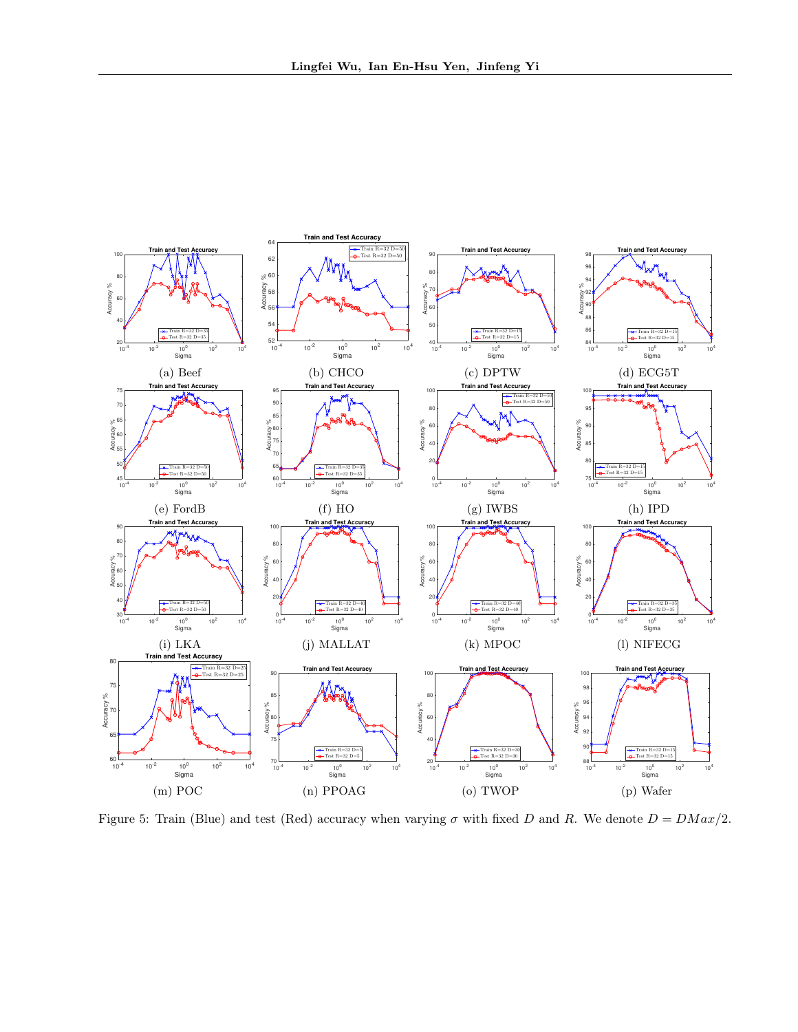

Figure 5: Train (Blue) and test (Red) accuracy when varying  $\sigma$  with fixed *D* and *R*. We denote  $D = DMax/2$ .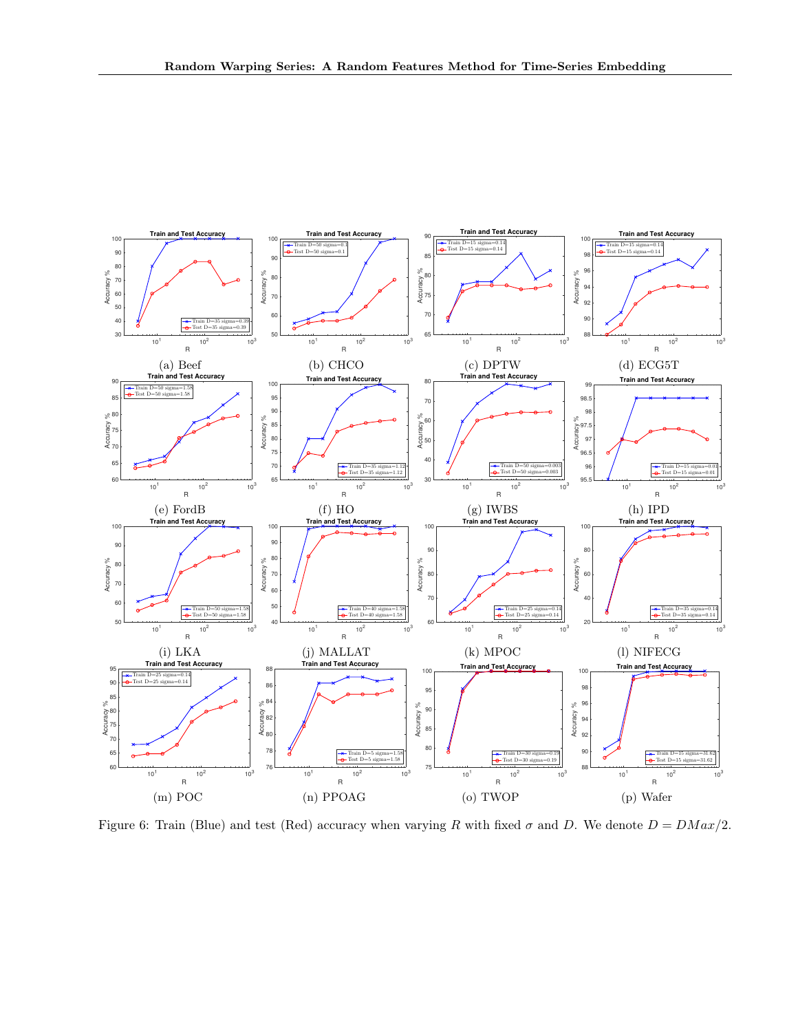

Figure 6: Train (Blue) and test (Red) accuracy when varying R with fixed  $\sigma$  and D. We denote  $D = DMax/2$ .